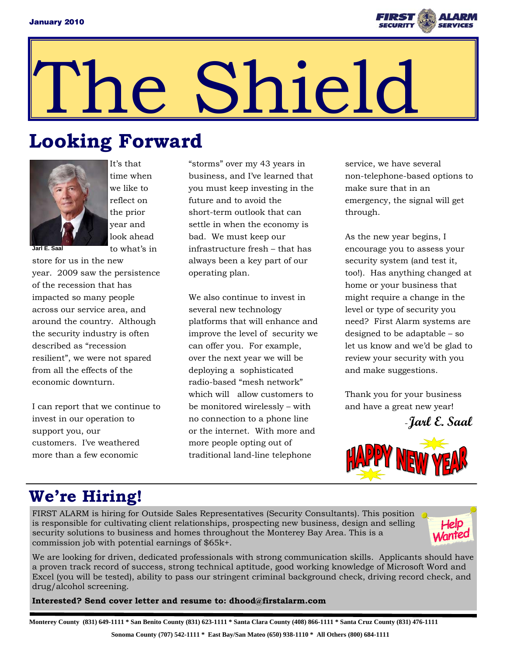

# he Shield

## **Looking Forward**



It's that time when we like to reflect on the prior year and look ahead to what's in

**Jarl E. Saal** 

store for us in the new year. 2009 saw the persistence of the recession that has impacted so many people across our service area, and around the country. Although the security industry is often described as "recession resilient", we were not spared from all the effects of the economic downturn.

I can report that we continue to invest in our operation to support you, our customers. I've weathered more than a few economic

"storms" over my 43 years in business, and I've learned that you must keep investing in the future and to avoid the short-term outlook that can settle in when the economy is bad. We must keep our infrastructure fresh – that has always been a key part of our operating plan.

We also continue to invest in several new technology platforms that will enhance and improve the level of security we can offer you. For example, over the next year we will be deploying a sophisticated radio-based "mesh network" which will allow customers to be monitored wirelessly – with no connection to a phone line or the internet. With more and more people opting out of traditional land-line telephone

service, we have several non-telephone-based options to make sure that in an emergency, the signal will get through.

As the new year begins, I encourage you to assess your security system (and test it, too!). Has anything changed at home or your business that might require a change in the level or type of security you need? First Alarm systems are designed to be adaptable – so let us know and we'd be glad to review your security with you and make suggestions.

Thank you for your business and have a great new year!





#### **We're Hiring!**

FIRST ALARM is hiring for Outside Sales Representatives (Security Consultants). This position is responsible for cultivating client relationships, prospecting new business, design and selling security solutions to business and homes throughout the Monterey Bay Area. This is a commission job with potential earnings of \$65k+.



We are looking for driven, dedicated professionals with strong communication skills. Applicants should have a proven track record of success, strong technical aptitude, good working knowledge of Microsoft Word and Excel (you will be tested), ability to pass our stringent criminal background check, driving record check, and drug/alcohol screening.

**Interested? Send cover letter and resume to: dhood@firstalarm.com** 

**Monterey County (831) 649-1111 \* San Benito County (831) 623-1111 \* Santa Clara County (408) 866-1111 \* Santa Cruz County (831) 476-1111**